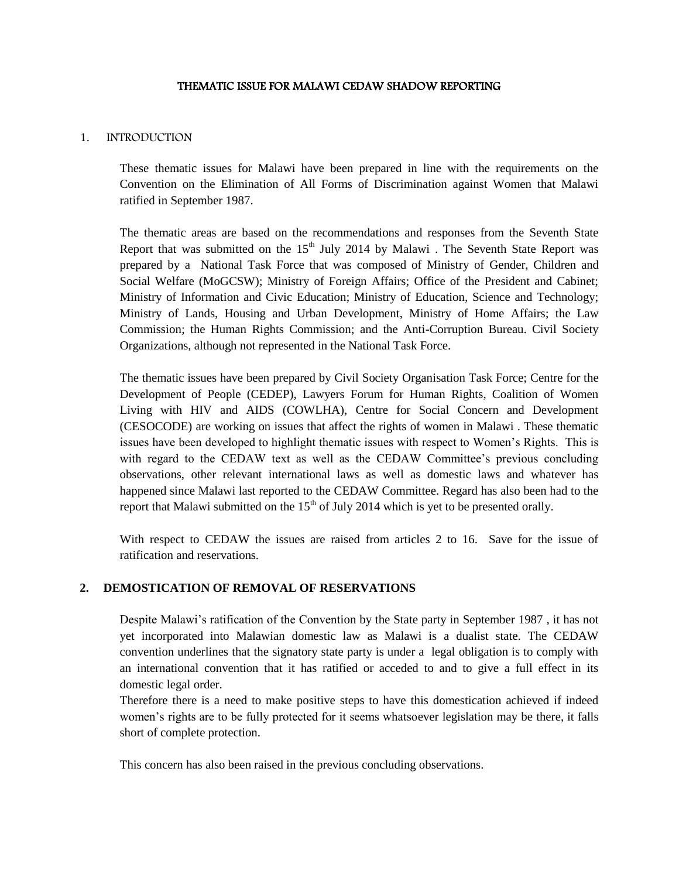#### THEMATIC ISSUE FOR MALAWI CEDAW SHADOW REPORTING

#### 1. INTRODUCTION

These thematic issues for Malawi have been prepared in line with the requirements on the Convention on the Elimination of All Forms of Discrimination against Women that Malawi ratified in September 1987.

The thematic areas are based on the recommendations and responses from the Seventh State Report that was submitted on the  $15<sup>th</sup>$  July 2014 by Malawi. The Seventh State Report was prepared by a National Task Force that was composed of Ministry of Gender, Children and Social Welfare (MoGCSW); Ministry of Foreign Affairs; Office of the President and Cabinet; Ministry of Information and Civic Education; Ministry of Education, Science and Technology; Ministry of Lands, Housing and Urban Development, Ministry of Home Affairs; the Law Commission; the Human Rights Commission; and the Anti-Corruption Bureau. Civil Society Organizations, although not represented in the National Task Force.

The thematic issues have been prepared by Civil Society Organisation Task Force; Centre for the Development of People (CEDEP), Lawyers Forum for Human Rights, Coalition of Women Living with HIV and AIDS (COWLHA), Centre for Social Concern and Development (CESOCODE) are working on issues that affect the rights of women in Malawi . These thematic issues have been developed to highlight thematic issues with respect to Women's Rights. This is with regard to the CEDAW text as well as the CEDAW Committee's previous concluding observations, other relevant international laws as well as domestic laws and whatever has happened since Malawi last reported to the CEDAW Committee. Regard has also been had to the report that Malawi submitted on the  $15<sup>th</sup>$  of July 2014 which is yet to be presented orally.

With respect to CEDAW the issues are raised from articles 2 to 16. Save for the issue of ratification and reservations.

### **2. DEMOSTICATION OF REMOVAL OF RESERVATIONS**

Despite Malawi's ratification of the Convention by the State party in September 1987 , it has not yet incorporated into Malawian domestic law as Malawi is a dualist state. The CEDAW convention underlines that the signatory state party is under a legal obligation is to comply with an international convention that it has ratified or acceded to and to give a full effect in its domestic legal order.

Therefore there is a need to make positive steps to have this domestication achieved if indeed women's rights are to be fully protected for it seems whatsoever legislation may be there, it falls short of complete protection.

This concern has also been raised in the previous concluding observations.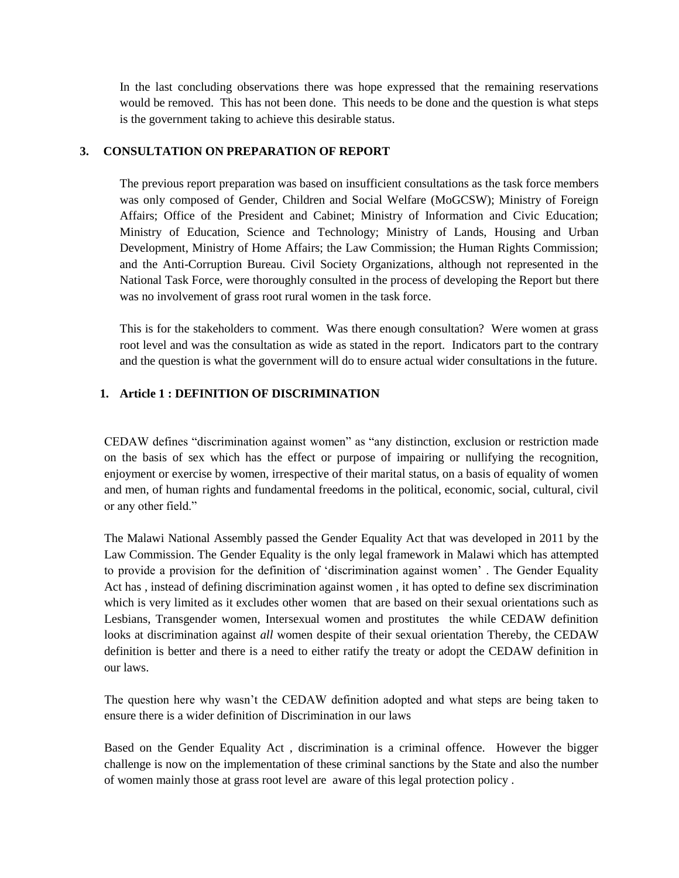In the last concluding observations there was hope expressed that the remaining reservations would be removed. This has not been done. This needs to be done and the question is what steps is the government taking to achieve this desirable status.

### **3. CONSULTATION ON PREPARATION OF REPORT**

The previous report preparation was based on insufficient consultations as the task force members was only composed of Gender, Children and Social Welfare (MoGCSW); Ministry of Foreign Affairs; Office of the President and Cabinet; Ministry of Information and Civic Education; Ministry of Education, Science and Technology; Ministry of Lands, Housing and Urban Development, Ministry of Home Affairs; the Law Commission; the Human Rights Commission; and the Anti-Corruption Bureau. Civil Society Organizations, although not represented in the National Task Force, were thoroughly consulted in the process of developing the Report but there was no involvement of grass root rural women in the task force.

This is for the stakeholders to comment. Was there enough consultation? Were women at grass root level and was the consultation as wide as stated in the report. Indicators part to the contrary and the question is what the government will do to ensure actual wider consultations in the future.

## **1. Article 1 : DEFINITION OF DISCRIMINATION**

CEDAW defines "discrimination against women" as "any distinction, exclusion or restriction made on the basis of sex which has the effect or purpose of impairing or nullifying the recognition, enjoyment or exercise by women, irrespective of their marital status, on a basis of equality of women and men, of human rights and fundamental freedoms in the political, economic, social, cultural, civil or any other field."

The Malawi National Assembly passed the Gender Equality Act that was developed in 2011 by the Law Commission. The Gender Equality is the only legal framework in Malawi which has attempted to provide a provision for the definition of 'discrimination against women' . The Gender Equality Act has , instead of defining discrimination against women , it has opted to define sex discrimination which is very limited as it excludes other women that are based on their sexual orientations such as Lesbians, Transgender women, Intersexual women and prostitutes the while CEDAW definition looks at discrimination against *all* women despite of their sexual orientation Thereby, the CEDAW definition is better and there is a need to either ratify the treaty or adopt the CEDAW definition in our laws.

The question here why wasn't the CEDAW definition adopted and what steps are being taken to ensure there is a wider definition of Discrimination in our laws

Based on the Gender Equality Act , discrimination is a criminal offence. However the bigger challenge is now on the implementation of these criminal sanctions by the State and also the number of women mainly those at grass root level are aware of this legal protection policy .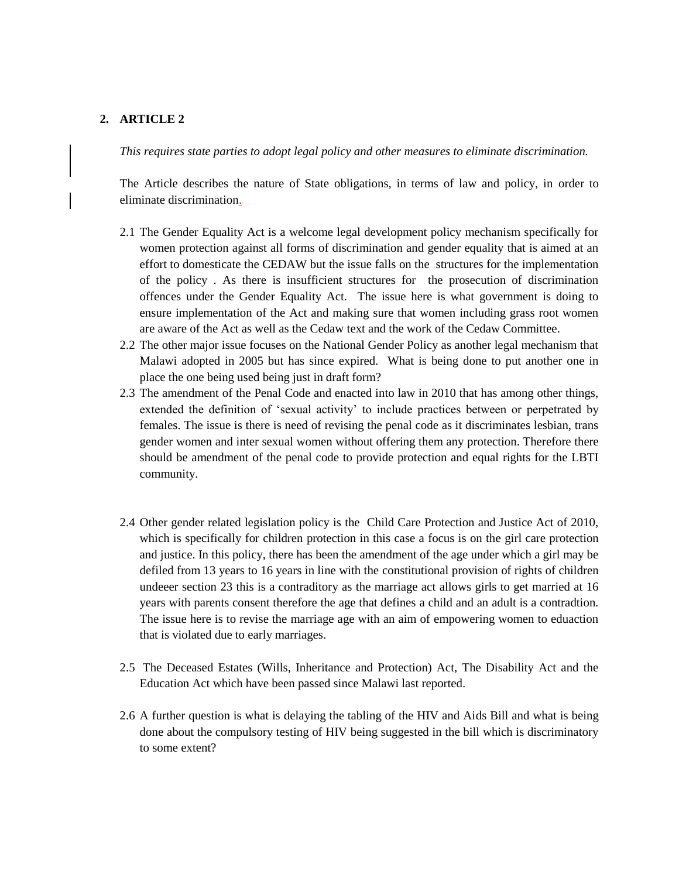*This requires state parties to adopt legal policy and other measures to eliminate discrimination.* 

The Article describes the nature of State obligations, in terms of law and policy, in order to eliminate discrimination.

- 2.1 The Gender Equality Act is a welcome legal development policy mechanism specifically for women protection against all forms of discrimination and gender equality that is aimed at an effort to domesticate the CEDAW but the issue falls on the structures for the implementation of the policy . As there is insufficient structures for the prosecution of discrimination offences under the Gender Equality Act. The issue here is what government is doing to ensure implementation of the Act and making sure that women including grass root women are aware of the Act as well as the Cedaw text and the work of the Cedaw Committee.
- 2.2 The other major issue focuses on the National Gender Policy as another legal mechanism that Malawi adopted in 2005 but has since expired. What is being done to put another one in place the one being used being just in draft form?
- 2.3 The amendment of the Penal Code and enacted into law in 2010 that has among other things, extended the definition of 'sexual activity' to include practices between or perpetrated by females. The issue is there is need of revising the penal code as it discriminates lesbian, trans gender women and inter sexual women without offering them any protection. Therefore there should be amendment of the penal code to provide protection and equal rights for the LBTI community.
- 2.4 Other gender related legislation policy is the Child Care Protection and Justice Act of 2010, which is specifically for children protection in this case a focus is on the girl care protection and justice. In this policy, there has been the amendment of the age under which a girl may be defiled from 13 years to 16 years in line with the constitutional provision of rights of children undeeer section 23 this is a contraditory as the marriage act allows girls to get married at 16 years with parents consent therefore the age that defines a child and an adult is a contradtion. The issue here is to revise the marriage age with an aim of empowering women to eduaction that is violated due to early marriages.
- 2.5 The Deceased Estates (Wills, Inheritance and Protection) Act, The Disability Act and the Education Act which have been passed since Malawi last reported.
- 2.6 A further question is what is delaying the tabling of the HIV and Aids Bill and what is being done about the compulsory testing of HIV being suggested in the bill which is discriminatory to some extent?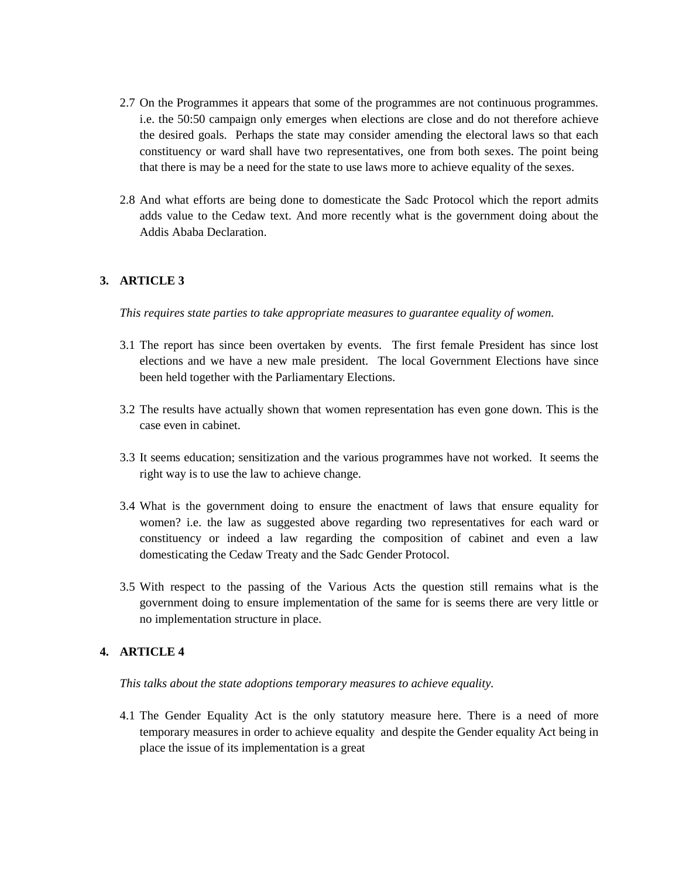- 2.7 On the Programmes it appears that some of the programmes are not continuous programmes. i.e. the 50:50 campaign only emerges when elections are close and do not therefore achieve the desired goals. Perhaps the state may consider amending the electoral laws so that each constituency or ward shall have two representatives, one from both sexes. The point being that there is may be a need for the state to use laws more to achieve equality of the sexes.
- 2.8 And what efforts are being done to domesticate the Sadc Protocol which the report admits adds value to the Cedaw text. And more recently what is the government doing about the Addis Ababa Declaration.

*This requires state parties to take appropriate measures to guarantee equality of women.*

- 3.1 The report has since been overtaken by events. The first female President has since lost elections and we have a new male president. The local Government Elections have since been held together with the Parliamentary Elections.
- 3.2 The results have actually shown that women representation has even gone down. This is the case even in cabinet.
- 3.3 It seems education; sensitization and the various programmes have not worked. It seems the right way is to use the law to achieve change.
- 3.4 What is the government doing to ensure the enactment of laws that ensure equality for women? i.e. the law as suggested above regarding two representatives for each ward or constituency or indeed a law regarding the composition of cabinet and even a law domesticating the Cedaw Treaty and the Sadc Gender Protocol.
- 3.5 With respect to the passing of the Various Acts the question still remains what is the government doing to ensure implementation of the same for is seems there are very little or no implementation structure in place.

#### **4. ARTICLE 4**

*This talks about the state adoptions temporary measures to achieve equality.*

4.1 The Gender Equality Act is the only statutory measure here. There is a need of more temporary measures in order to achieve equality and despite the Gender equality Act being in place the issue of its implementation is a great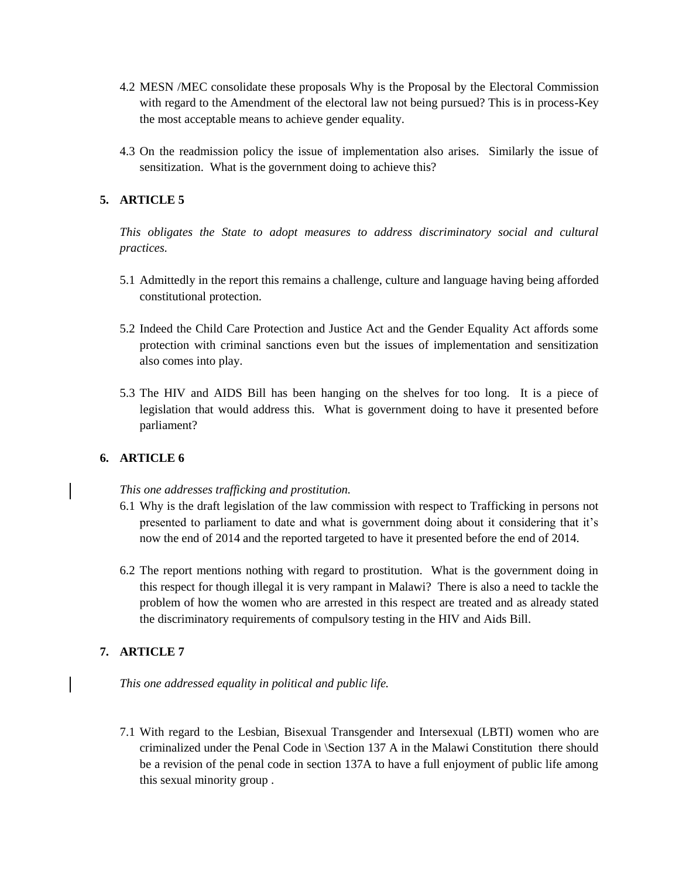- 4.2 MESN /MEC consolidate these proposals Why is the Proposal by the Electoral Commission with regard to the Amendment of the electoral law not being pursued? This is in process-Key the most acceptable means to achieve gender equality.
- 4.3 On the readmission policy the issue of implementation also arises. Similarly the issue of sensitization. What is the government doing to achieve this?

*This obligates the State to adopt measures to address discriminatory social and cultural practices.*

- 5.1 Admittedly in the report this remains a challenge, culture and language having being afforded constitutional protection.
- 5.2 Indeed the Child Care Protection and Justice Act and the Gender Equality Act affords some protection with criminal sanctions even but the issues of implementation and sensitization also comes into play.
- 5.3 The HIV and AIDS Bill has been hanging on the shelves for too long. It is a piece of legislation that would address this. What is government doing to have it presented before parliament?

## **6. ARTICLE 6**

## *This one addresses trafficking and prostitution.*

- 6.1 Why is the draft legislation of the law commission with respect to Trafficking in persons not presented to parliament to date and what is government doing about it considering that it's now the end of 2014 and the reported targeted to have it presented before the end of 2014.
- 6.2 The report mentions nothing with regard to prostitution. What is the government doing in this respect for though illegal it is very rampant in Malawi? There is also a need to tackle the problem of how the women who are arrested in this respect are treated and as already stated the discriminatory requirements of compulsory testing in the HIV and Aids Bill.

# **7. ARTICLE 7**

*This one addressed equality in political and public life.*

7.1 With regard to the Lesbian, Bisexual Transgender and Intersexual (LBTI) women who are criminalized under the Penal Code in \Section 137 A in the Malawi Constitution there should be a revision of the penal code in section 137A to have a full enjoyment of public life among this sexual minority group .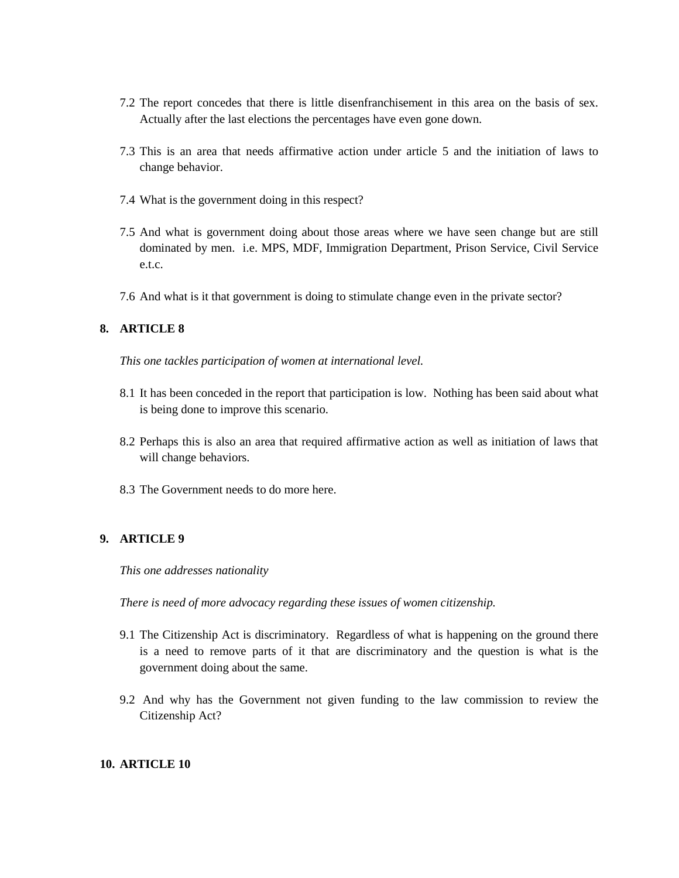- 7.2 The report concedes that there is little disenfranchisement in this area on the basis of sex. Actually after the last elections the percentages have even gone down.
- 7.3 This is an area that needs affirmative action under article 5 and the initiation of laws to change behavior.
- 7.4 What is the government doing in this respect?
- 7.5 And what is government doing about those areas where we have seen change but are still dominated by men. i.e. MPS, MDF, Immigration Department, Prison Service, Civil Service e.t.c.
- 7.6 And what is it that government is doing to stimulate change even in the private sector?

*This one tackles participation of women at international level.*

- 8.1 It has been conceded in the report that participation is low. Nothing has been said about what is being done to improve this scenario.
- 8.2 Perhaps this is also an area that required affirmative action as well as initiation of laws that will change behaviors.
- 8.3 The Government needs to do more here.

#### **9. ARTICLE 9**

*This one addresses nationality* 

*There is need of more advocacy regarding these issues of women citizenship.*

- 9.1 The Citizenship Act is discriminatory. Regardless of what is happening on the ground there is a need to remove parts of it that are discriminatory and the question is what is the government doing about the same.
- 9.2 And why has the Government not given funding to the law commission to review the Citizenship Act?

#### **10. ARTICLE 10**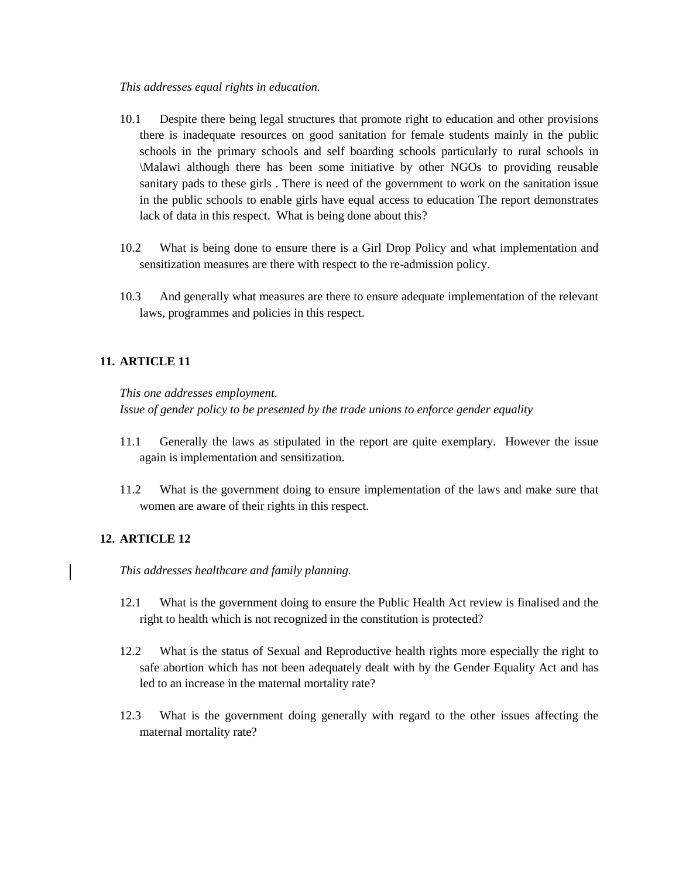*This addresses equal rights in education.*

- 10.1 Despite there being legal structures that promote right to education and other provisions there is inadequate resources on good sanitation for female students mainly in the public schools in the primary schools and self boarding schools particularly to rural schools in \Malawi although there has been some initiative by other NGOs to providing reusable sanitary pads to these girls . There is need of the government to work on the sanitation issue in the public schools to enable girls have equal access to education The report demonstrates lack of data in this respect. What is being done about this?
- 10.2 What is being done to ensure there is a Girl Drop Policy and what implementation and sensitization measures are there with respect to the re-admission policy.
- 10.3 And generally what measures are there to ensure adequate implementation of the relevant laws, programmes and policies in this respect.

## **11. ARTICLE 11**

*This one addresses employment. Issue of gender policy to be presented by the trade unions to enforce gender equality*

- 11.1 Generally the laws as stipulated in the report are quite exemplary. However the issue again is implementation and sensitization.
- 11.2 What is the government doing to ensure implementation of the laws and make sure that women are aware of their rights in this respect.

## **12. ARTICLE 12**

*This addresses healthcare and family planning.*

- 12.1 What is the government doing to ensure the Public Health Act review is finalised and the right to health which is not recognized in the constitution is protected?
- 12.2 What is the status of Sexual and Reproductive health rights more especially the right to safe abortion which has not been adequately dealt with by the Gender Equality Act and has led to an increase in the maternal mortality rate?
- 12.3 What is the government doing generally with regard to the other issues affecting the maternal mortality rate?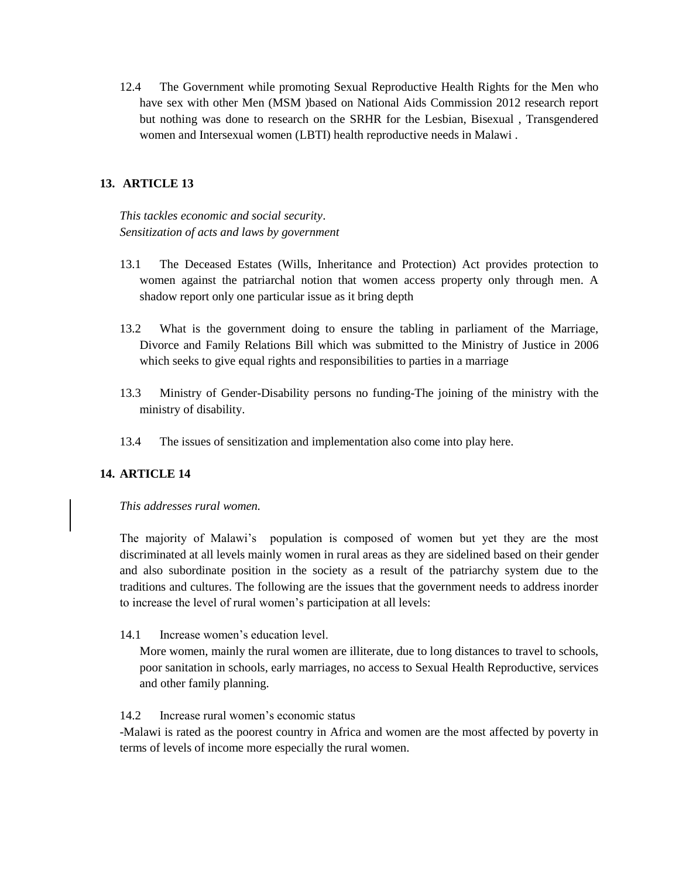12.4 The Government while promoting Sexual Reproductive Health Rights for the Men who have sex with other Men (MSM )based on National Aids Commission 2012 research report but nothing was done to research on the SRHR for the Lesbian, Bisexual , Transgendered women and Intersexual women (LBTI) health reproductive needs in Malawi .

# **13. ARTICLE 13**

*This tackles economic and social security*. *Sensitization of acts and laws by government*

- 13.1 The Deceased Estates (Wills, Inheritance and Protection) Act provides protection to women against the patriarchal notion that women access property only through men. A shadow report only one particular issue as it bring depth
- 13.2 What is the government doing to ensure the tabling in parliament of the Marriage, Divorce and Family Relations Bill which was submitted to the Ministry of Justice in 2006 which seeks to give equal rights and responsibilities to parties in a marriage
- 13.3 Ministry of Gender-Disability persons no funding-The joining of the ministry with the ministry of disability.
- 13.4 The issues of sensitization and implementation also come into play here.

## **14. ARTICLE 14**

### *This addresses rural women.*

The majority of Malawi's population is composed of women but yet they are the most discriminated at all levels mainly women in rural areas as they are sidelined based on their gender and also subordinate position in the society as a result of the patriarchy system due to the traditions and cultures. The following are the issues that the government needs to address inorder to increase the level of rural women's participation at all levels:

14.1 Increase women's education level.

More women, mainly the rural women are illiterate, due to long distances to travel to schools, poor sanitation in schools, early marriages, no access to Sexual Health Reproductive, services and other family planning.

### 14.2 Increase rural women's economic status

-Malawi is rated as the poorest country in Africa and women are the most affected by poverty in terms of levels of income more especially the rural women.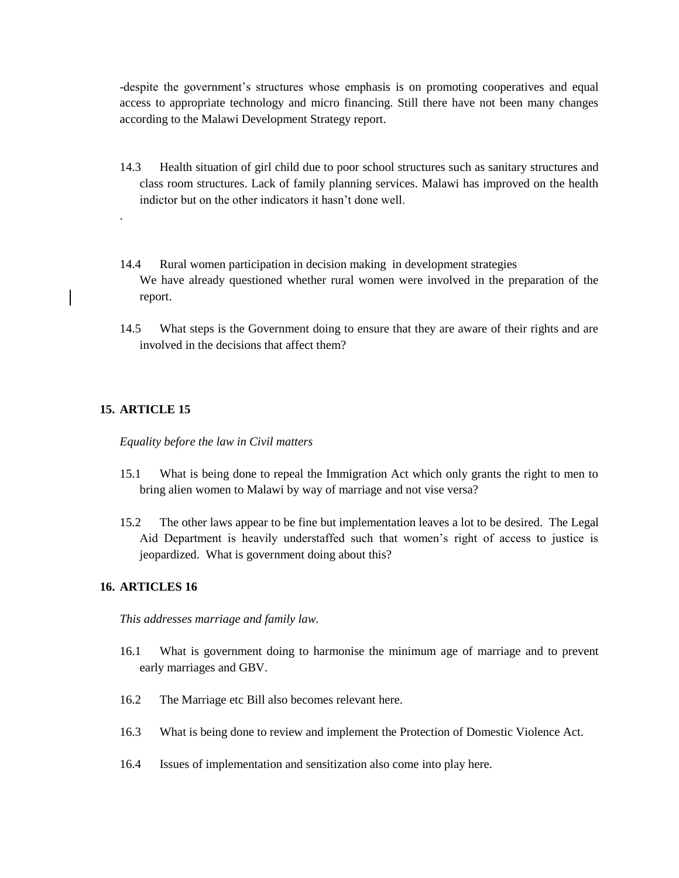-despite the government's structures whose emphasis is on promoting cooperatives and equal access to appropriate technology and micro financing. Still there have not been many changes according to the Malawi Development Strategy report.

- 14.3 Health situation of girl child due to poor school structures such as sanitary structures and class room structures. Lack of family planning services. Malawi has improved on the health indictor but on the other indicators it hasn't done well.
- 14.4 Rural women participation in decision making in development strategies We have already questioned whether rural women were involved in the preparation of the report.
- 14.5 What steps is the Government doing to ensure that they are aware of their rights and are involved in the decisions that affect them?

### **15. ARTICLE 15**

.

*Equality before the law in Civil matters*

- 15.1 What is being done to repeal the Immigration Act which only grants the right to men to bring alien women to Malawi by way of marriage and not vise versa?
- 15.2 The other laws appear to be fine but implementation leaves a lot to be desired. The Legal Aid Department is heavily understaffed such that women's right of access to justice is jeopardized. What is government doing about this?

### **16. ARTICLES 16**

*This addresses marriage and family law.*

- 16.1 What is government doing to harmonise the minimum age of marriage and to prevent early marriages and GBV.
- 16.2 The Marriage etc Bill also becomes relevant here.
- 16.3 What is being done to review and implement the Protection of Domestic Violence Act.
- 16.4 Issues of implementation and sensitization also come into play here.